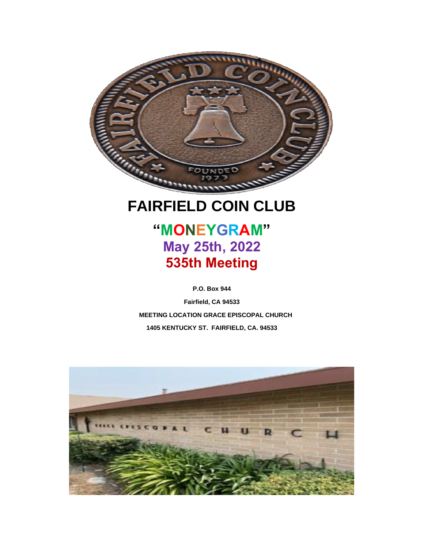

### **FAIRFIELD COIN CLUB**

**"MONEYGRAM" May 25th, 2022 535th Meeting**

**P.O. Box 944**

**Fairfield, CA 94533 MEETING LOCATION GRACE EPISCOPAL CHURCH 1405 KENTUCKY ST. FAIRFIELD, CA. 94533** 

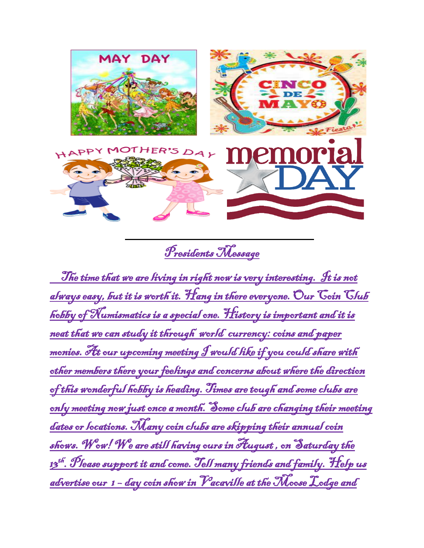

Presidents Message

 The time that we are living in right now is very interesting. It is not always easy, but it is worth it. Hang in there everyone. Our Coin Club hobby of Numismatics is a special one. History is important and it is neat that we can study it through world currency: coins and paper monies. At our upcoming meeting I would like if you could share with other members there your feelings and concerns about where the direction of this wonderful hobby is heading. Times are tough and some clubs are only meeting now just once a month. Some club are changing their meeting dates or locations. Many coin clubs are skipping their annual coin shows. Wow! We are still having ours in August , on Saturday the 13<sup>th</sup>. Please support it and come. Tell many friends and family. Help us advertise our 1 – day coin show in Vacaville at the Moose Lodge and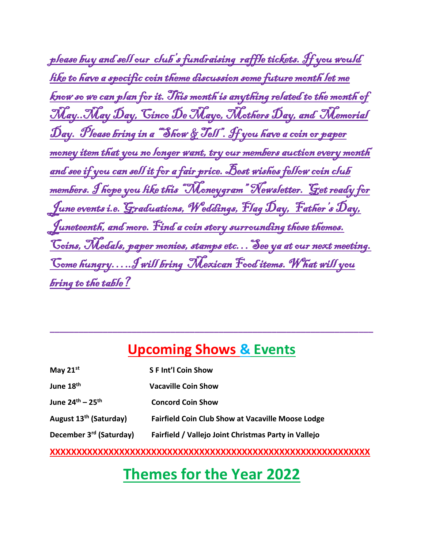| please buy and sell our club's fundraising raffle tickets. If you would           |
|-----------------------------------------------------------------------------------|
| like to have a specific coin theme discussion some future month let me            |
| <u>know so we can plan for it. This month is anything related to the month of</u> |
| <u>May. May Day, Cinco De Mayo, Mothers Day, and Memorial</u>                     |
| <u>Day. Please bring in a "Show &amp; Jess". If you have a coin or paper</u>      |
| money item that you no longer want, try our members auction every month           |
| <u>and see if you can sell it for a fair price. Best wishes fellow coin club</u>  |
| members. I hope you like this "Moneygram" Newsletter. Get ready for               |
| <u>June events i.e. Graduations, Weddings, Flag Day, Father's Day,</u>            |
| Juneteenth, and more. Find a coin story surrounding these themes.                 |
| <u>Coins, Medals, paper monies, stamps etc See ya at our next meeting.</u>        |
| Come hungry J will bring Mexican Food items. What will you                        |
| <b><u>bring to the table?</u></b>                                                 |

### **Upcoming Shows & Events**

**\_\_\_\_\_\_\_\_\_\_\_\_\_\_\_\_\_\_\_\_\_\_\_\_\_\_\_\_\_\_\_\_\_\_\_\_\_\_\_\_\_\_\_\_\_\_\_\_\_\_\_\_\_\_\_\_\_\_\_\_\_\_\_\_\_\_\_**

| May 21st                                 | <b>SFInt'l Coin Show</b>                                 |
|------------------------------------------|----------------------------------------------------------|
| June 18 <sup>th</sup>                    | <b>Vacaville Coin Show</b>                               |
| June 24 <sup>th</sup> – 25 <sup>th</sup> | <b>Concord Coin Show</b>                                 |
| August 13 <sup>th</sup> (Saturday)       | <b>Fairfield Coin Club Show at Vacaville Moose Lodge</b> |
| December 3 <sup>rd</sup> (Saturday)      | Fairfield / Vallejo Joint Christmas Party in Vallejo     |
|                                          |                                                          |

#### **XXXXXXXXXXXXXXXXXXXXXXXXXXXXXXXXXXXXXXXXXXXXXXXXXXXXXXXXXXXX**

# **Themes for the Year 2022**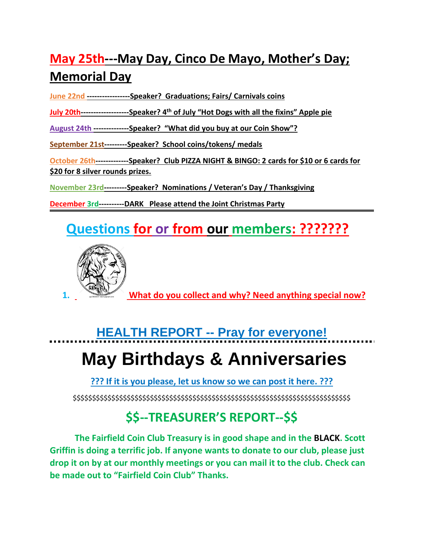### **May 25th---May Day, Cinco De Mayo, Mother's Day; Memorial Day**

**June 22nd -----------------Speaker? Graduations; Fairs/ Carnivals coins**

**July 20th-------------------Speaker? 4th of July "Hot Dogs with all the fixins" Apple pie**

**August 24th --------------Speaker? "What did you buy at our Coin Show"?**

**September 21st---------Speaker? School coins/tokens/ medals**

**October 26th-------------Speaker? Club PIZZA NIGHT & BINGO: 2 cards for \$10 or 6 cards for \$20 for 8 silver rounds prizes.**

**November 23rd---------Speaker? Nominations / Veteran's Day / Thanksgiving**

**December 3rd----------DARK Please attend the Joint Christmas Party**

## **Questions for or from our members: ???????**



**1. What do you collect and why? Need anything special now?**

# **HEALTH REPORT -- Pray for everyone! May Birthdays & Anniversaries**

**??? If it is you please, let us know so we can post it here. ???**

\$\$\$\$\$\$\$\$\$\$\$\$\$\$\$\$\$\$\$\$\$\$\$\$\$\$\$\$\$\$\$\$\$\$\$\$\$\$\$\$\$\$\$\$\$\$\$\$\$\$\$\$\$\$\$\$\$\$\$\$\$\$\$\$\$\$\$\$\$\$\$\$

### **\$\$--TREASURER'S REPORT--\$\$**

**The Fairfield Coin Club Treasury is in good shape and in the BLACK. Scott Griffin is doing a terrific job. If anyone wants to donate to our club, please just drop it on by at our monthly meetings or you can mail it to the club. Check can be made out to "Fairfield Coin Club" Thanks.**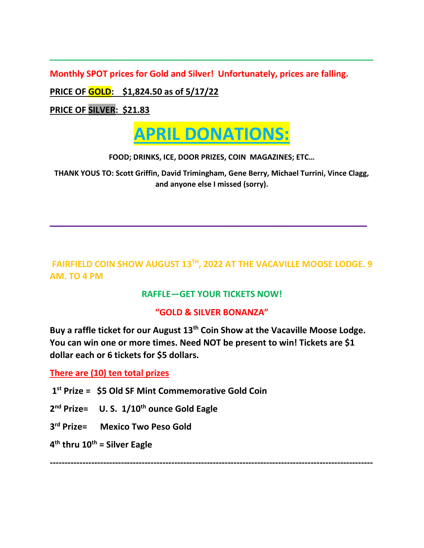**Monthly SPOT prices for Gold and Silver! Unfortunately, prices are falling.**

**PRICE OF GOLD: \$1,824.50 as of 5/17/22** 

**PRICE OF SILVER: \$21.83**



**\_\_\_\_\_\_\_\_\_\_\_\_\_\_\_\_\_\_\_\_\_\_\_\_\_\_\_\_\_\_\_\_\_\_\_\_\_\_\_\_\_\_\_\_\_\_\_\_\_\_\_\_\_\_\_\_\_\_\_\_\_\_\_\_\_\_\_**

**FOOD; DRINKS, ICE, DOOR PRIZES, COIN MAGAZINES; ETC…**

**THANK YOUS TO: Scott Griffin, David Trimingham, Gene Berry, Michael Turrini, Vince Clagg, and anyone else I missed (sorry).**

**\_\_\_\_\_\_\_\_\_\_\_\_\_\_\_\_\_\_\_\_\_\_\_\_\_\_\_\_\_\_\_\_\_\_\_\_\_\_\_\_\_\_\_\_\_\_**

### **FAIRFIELD COIN SHOW AUGUST 13TH, 2022 AT THE VACAVILLE MOOSE LODGE. 9 AM. TO 4 PM**

#### **RAFFLE—GET YOUR TICKETS NOW!**

#### **"GOLD & SILVER BONANZA"**

**Buy a raffle ticket for our August 13th Coin Show at the Vacaville Moose Lodge. You can win one or more times. Need NOT be present to win! Tickets are \$1 dollar each or 6 tickets for \$5 dollars.** 

**There are (10) ten total prizes**

- **1 st Prize = \$5 Old SF Mint Commemorative Gold Coin**
- **2 nd Prize= U. S. 1/10th ounce Gold Eagle**
- **3 rd Prize= Mexico Two Peso Gold**

**4 th thru 10th = Silver Eagle**

**-------------------------------------------------------------------------------------------------------------**